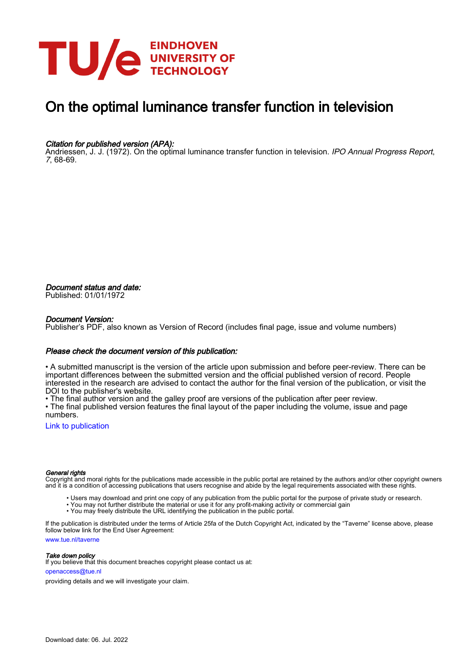

# On the optimal luminance transfer function in television

### Citation for published version (APA):

Andriessen, J. J. (1972). On the optimal luminance transfer function in television. IPO Annual Progress Report, 7, 68-69.

Document status and date: Published: 01/01/1972

#### Document Version:

Publisher's PDF, also known as Version of Record (includes final page, issue and volume numbers)

#### Please check the document version of this publication:

• A submitted manuscript is the version of the article upon submission and before peer-review. There can be important differences between the submitted version and the official published version of record. People interested in the research are advised to contact the author for the final version of the publication, or visit the DOI to the publisher's website.

• The final author version and the galley proof are versions of the publication after peer review.

• The final published version features the final layout of the paper including the volume, issue and page numbers.

[Link to publication](https://research.tue.nl/en/publications/d0a1aa0b-c874-4394-8a8b-0bf1979e5740)

#### General rights

Copyright and moral rights for the publications made accessible in the public portal are retained by the authors and/or other copyright owners and it is a condition of accessing publications that users recognise and abide by the legal requirements associated with these rights.

- Users may download and print one copy of any publication from the public portal for the purpose of private study or research.
- You may not further distribute the material or use it for any profit-making activity or commercial gain
- You may freely distribute the URL identifying the publication in the public portal.

If the publication is distributed under the terms of Article 25fa of the Dutch Copyright Act, indicated by the "Taverne" license above, please follow below link for the End User Agreement:

www.tue.nl/taverne

**Take down policy**<br>If you believe that this document breaches copyright please contact us at:

openaccess@tue.nl

providing details and we will investigate your claim.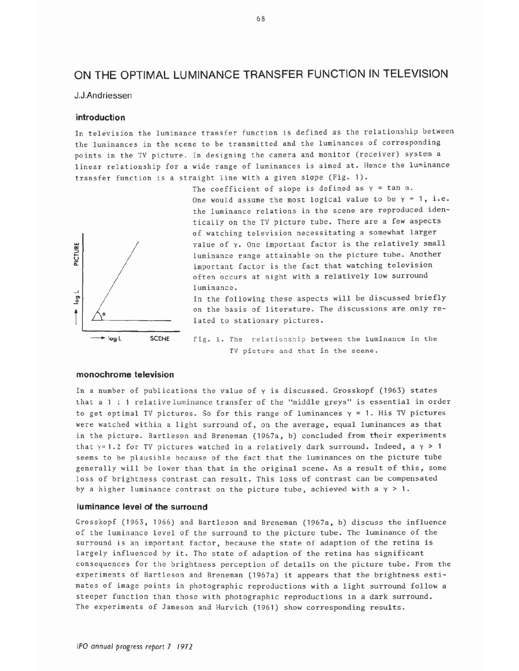## ON THE OPTIMAL LUMINANCE TRANSFER FUNCTION IN TELEVISION

#### J.J.Andriessen

#### introduction

In television the luminance transfer function is defined as the relationship between the luminances in the scene to be transmitted and the luminances of corresponding points in the TV picture. In designing the camera and monitor (receiver) system a linear relationship for a wide range of luminances is aimed at. Hence the luminance transfer function is a straight line with a given slope (Fig. 1).



The coefficient of slope is defined as  $\gamma$  = tan  $\alpha$ . One would assume the most logical value to be  $\gamma = 1$ , i.e. the luminance relations in the scene are reproduced identically on the TV picture tube. There are a few aspects of watching television necessitating a somewhat larger value of  $\gamma$ . One important factor is the relatively small luminance range attainable on the picture tube. Another important factor is the fact that watching television often occurs at night with a relatively low surround luminance.

In the following these aspects will be discussed briefly on the basis of literature. The discussions are only related to stationary pictures.

Fig. 1. The relationship between the luminance in the TV picture and that in the scene.

#### monochrome television

In a number of publications the value of  $\gamma$  is discussed. Grosskopf (1963) states that a 1 : 1 relative luminance transfer of the "middle greys" is essential in order to get optimal TV pictures. So for this range of luminances  $\gamma = 1$ . His TV pictures were watched within a light surround of, on the average, equal luminances as that in the picture. Bartleson and Breneman (1967a, b) concluded from their experiments that  $\gamma \approx 1.2$  for TV pictures watched in a relatively dark surround. Indeed, a  $\gamma > 1$ seems to be plausible because of the fact that the luminances on the picture tube generally will be lower than that in the original scene. As a result of this, some loss of brightness contrast can result. This loss of contrast can be compensated by a higher luminance contrast on the picture tube, achieved with a  $\gamma > 1$ .

#### luminance level of the surround

Grosskopf (1963, 1966) and Bartleson and Breneman (1967a, b) discuss the influence of the luminance level of the surround to the picture tube. The luminance of the surround is an important factor, because the state of adaption of the retina is largely influenced by it. The state of adaption of the retina has significant consequences for the brightness perception of details on the picture tube. From the experiments of Bartleson and Breneman (1967a) it appears that the brightness estimates of image points in photographic reproductions with a light surround follow a steeper function than those with photographic reproductions in a dark surround. The experiments of Jameson and Hurvich (1961) show corresponding results.